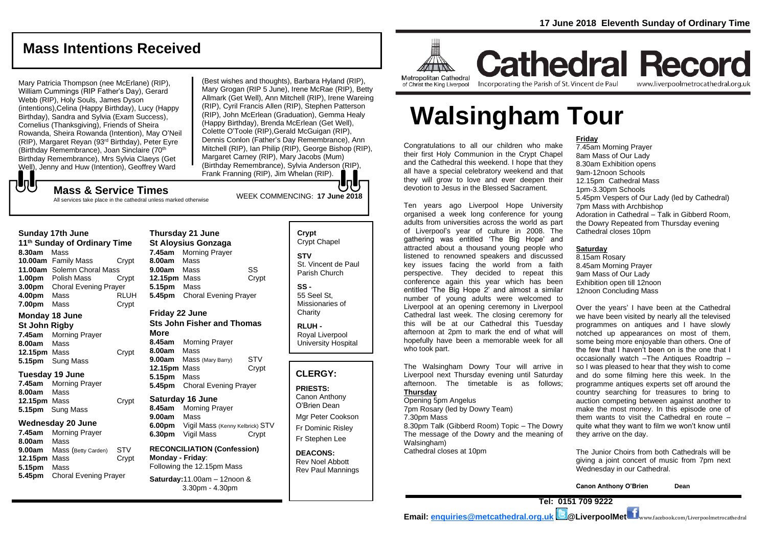# **Mass Intentions Received**

Mary Patricia Thompson (nee McErlane) (RIP), William Cummings (RIP Father's Day), Gerard Webb (RIP), Holy Souls, James Dyson (intentions),Celina (Happy Birthday), Lucy (Happy Birthday), Sandra and Sylvia (Exam Success), Cornelius (Thanksgiving), Friends of Sheira Rowanda, Sheira Rowanda (Intention), May O'Neil (RIP), Margaret Reyan (93rd Birthday), Peter Eyre (Birthday Remembrance), Joan Sinclaire (70<sup>th</sup> Birthday Remembrance), Mrs Sylvia Claeys (Get Well), Jenny and Huw (Intention), Geoffrey Ward

(Best wishes and thoughts), Barbara Hyland (RIP), Mary Grogan (RIP 5 June), Irene McRae (RIP), Betty Allmark (Get Well), Ann Mitchell (RIP), Irene Wareing (RIP), Cyril Francis Allen (RIP), Stephen Patterson (RIP), John McErlean (Graduation), Gemma Healy (Happy Birthday), Brenda McErlean (Get Well), Colette O'Toole (RIP),Gerald McGuigan (RIP), Dennis Conlon (Father's Day Remembrance), Ann Mitchell (RIP), Ian Philip (RIP), George Bishop (RIP), Margaret Carney (RIP), Mary Jacobs (Mum) (Birthday Remembrance), Sylvia Anderson (RIP), Frank Franning (RIP), Jim Whelan (RIP).

WEEK COMMENCING: **<sup>17</sup> June <sup>2018</sup> Mass & Service Times** All services take place in the cathedral unless marked otherwise

#### **Sunday 17th June**

もし

- **11 th Sunday of Ordinary Time 8.30am** Mass **10.00am** Family Mass Crypt **11.00am** Solemn Choral Mass **1.00pm** Polish Mass Crypt **3.00pm** Choral Evening Prayer **4.00pm** Mass RLUH **7.00pm** Mass Crypt **Monday 18 June St John Rigby 7.45am** Morning Prayer **8.00am** Mass
- **12.15pm** Mass Crypt **5.15pm** Sung Mass

# **Tuesday 19 June**

**7.45am** Morning Prayer **8.00am** Mass **12.15pm** Mass Crypt **5.15pm** Sung Mass

#### **Wednesday 20 June**

**7.45am** Morning Prayer **8.00am** Mass **9.00am** Mass (Betty Carden) STV **12.15pm** Mass Crypt **5.15pm** Mass **5.45pm** Choral Evening Prayer

**Thursday 21 June St Aloysius Gonzaga 7.45am** Morning Prayer **8.00am** Mass **9.00am** Mass SS **12.15pm** Mass Crypt **5.15pm** Mass **5.45pm** Choral Evening Prayer

## **Friday 22 June Sts John Fisher and Thomas**

**More 8.45am** Morning Prayer **8.00am** Mass **9.00am** Mass (Mary Barry) STV **12.15pm** Mass Crypt **5.15pm** Mass **5.45pm** Choral Evening Prayer

**Saturday 16 June 8.45am** Morning Prayer **9.00am** Mass **6.00pm** Vigil Mass (Kenny Kelbrick) STV **6.30pm** Vigil Mass Crypt

#### **RECONCILIATION (Confession) Monday - Friday**: Following the 12.15pm Mass

**Saturday:**11.00am – 12noon & 3.30pm - 4.30pm

# **Crypt**  Crypt Chapel **STV** St. Vincent de Paul Parish Church

**SS -** 55 Seel St, Missionaries of **Charity** 

**RLUH -** Royal Liverpool University Hospital

# **CLERGY:**

**PRIESTS:** Canon Anthony O'Brien *Dean*

Mgr Peter Cookson Fr Dominic Risley Fr Stephen Lee

**DEACONS:** Rev Noel Abbott Rev Paul Mannings



**Cathedral Record** Incorporating the Parish of St. Vincent de Paul of Christ the King Liverpool

www.liverpoolmetrocathedral.org.uk

# **Walsingham Tour**

Congratulations to all our children who make their first Holy Communion in the Crypt Chapel and the Cathedral this weekend. I hope that they all have a special celebratory weekend and that they will grow to love and ever deepen their devotion to Jesus in the Blessed Sacrament.

Ten years ago Liverpool Hope University organised a week long conference for young adults from universities across the world as part of Liverpool's year of culture in 2008. The gathering was entitled 'The Big Hope' and attracted about a thousand young people who listened to renowned speakers and discussed key issues facing the world from a faith perspective. They decided to repeat this conference again this year which has been entitled 'The Big Hope 2' and almost a similar number of young adults were welcomed to Liverpool at an opening ceremony in Liverpool Cathedral last week. The closing ceremony for this will be at our Cathedral this Tuesday afternoon at 2pm to mark the end of what will hopefully have been a memorable week for all who took part.

The Walsingham Dowry Tour will arrive in Liverpool next Thursday evening until Saturday afternoon. The timetable is as follows; **Thursday** Opening 5pm Angelus 7pm Rosary (led by Dowry Team) 7.30pm Mass 8.30pm Talk (Gibberd Room) Topic – The Dowry *The message of the Dowry and the meaning of Walsingham)*

Cathedral closes at 10pm

#### **Friday**

7.45am Morning Prayer 8am Mass of Our Lady 8.30am Exhibition opens 9am-12noon Schools 12.15pm Cathedral Mass 1pm-3.30pm Schools 5.45pm Vespers of Our Lady (led by Cathedral) 7pm Mass with Archbishop Adoration in Cathedral – Talk in Gibberd Room, the Dowry *Repeated from Thursday evening* Cathedral closes 10pm

### **Saturday**

8.15am Rosary 8.45am Morning Prayer 9am Mass of Our Lady Exhibition open till 12noon 12noon Concluding Mass

Over the years' I have been at the Cathedral we have been visited by nearly all the televised programmes on antiques and I have slowly notched up appearances on most of them, some being more enjoyable than others. One of the few that I haven't been on is the one that I occasionally watch –The Antiques Roadtrip – so I was pleased to hear that they wish to come and do some filming here this week. In the programme antiques experts set off around the country searching for treasures to bring to auction competing between against another to make the most money. In this episode one of them wants to visit the Cathedral en route – quite what they want to film we won't know until they arrive on the day.

The Junior Choirs from both Cathedrals will be giving a joint concert of music from 7pm next Wednesday in our Cathedral.

**Canon Anthony O'Brien Dean**

**Tel: 0151 709 9222** 

**Email: [enquiries@metcathedral.org.uk](mailto:enquiries@metcathedral.org.uk) @LiverpoolMet** www.facebook.com/Liverpoolmetrocathedral